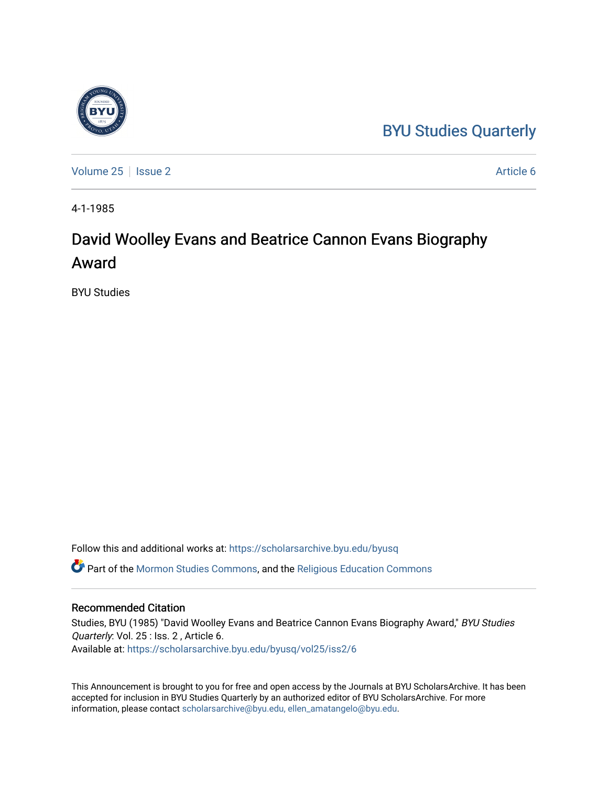### [BYU Studies Quarterly](https://scholarsarchive.byu.edu/byusq)

[Volume 25](https://scholarsarchive.byu.edu/byusq/vol25) | [Issue 2](https://scholarsarchive.byu.edu/byusq/vol25/iss2) Article 6

4-1-1985

## David Woolley Evans and Beatrice Cannon Evans Biography Award

BYU Studies

Follow this and additional works at: [https://scholarsarchive.byu.edu/byusq](https://scholarsarchive.byu.edu/byusq?utm_source=scholarsarchive.byu.edu%2Fbyusq%2Fvol25%2Fiss2%2F6&utm_medium=PDF&utm_campaign=PDFCoverPages) 

Part of the [Mormon Studies Commons](http://network.bepress.com/hgg/discipline/1360?utm_source=scholarsarchive.byu.edu%2Fbyusq%2Fvol25%2Fiss2%2F6&utm_medium=PDF&utm_campaign=PDFCoverPages), and the [Religious Education Commons](http://network.bepress.com/hgg/discipline/1414?utm_source=scholarsarchive.byu.edu%2Fbyusq%2Fvol25%2Fiss2%2F6&utm_medium=PDF&utm_campaign=PDFCoverPages) 

#### Recommended Citation

Studies, BYU (1985) "David Woolley Evans and Beatrice Cannon Evans Biography Award," BYU Studies Quarterly: Vol. 25 : Iss. 2 , Article 6. Available at: [https://scholarsarchive.byu.edu/byusq/vol25/iss2/6](https://scholarsarchive.byu.edu/byusq/vol25/iss2/6?utm_source=scholarsarchive.byu.edu%2Fbyusq%2Fvol25%2Fiss2%2F6&utm_medium=PDF&utm_campaign=PDFCoverPages)

This Announcement is brought to you for free and open access by the Journals at BYU ScholarsArchive. It has been accepted for inclusion in BYU Studies Quarterly by an authorized editor of BYU ScholarsArchive. For more information, please contact [scholarsarchive@byu.edu, ellen\\_amatangelo@byu.edu.](mailto:scholarsarchive@byu.edu,%20ellen_amatangelo@byu.edu)